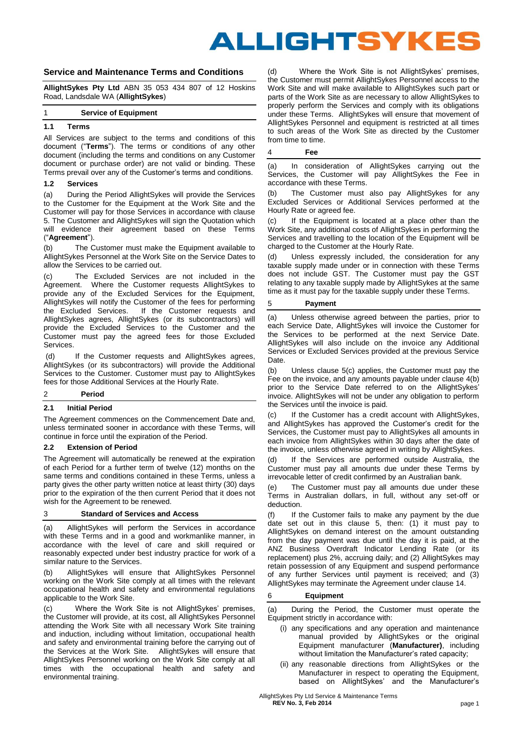# ALLIGHTSYKES

# **Service and Maintenance Terms and Conditions**

**AllightSykes Pty Ltd** ABN 35 053 434 807 of 12 Hoskins Road, Landsdale WA (**AllightSykes**)

### 1 **Service of Equipment**

# **1.1 Terms**

All Services are subject to the terms and conditions of this document ("**Terms**"). The terms or conditions of any other document (including the terms and conditions on any Customer document or purchase order) are not valid or binding. These Terms prevail over any of the Customer's terms and conditions.

#### **1.2 Services**

(a) During the Period AllightSykes will provide the Services to the Customer for the Equipment at the Work Site and the Customer will pay for those Services in accordance with clause 5. The Customer and AllightSykes will sign the Quotation which will evidence their agreement based on these Terms ("**Agreement**").

(b) The Customer must make the Equipment available to AllightSykes Personnel at the Work Site on the Service Dates to allow the Services to be carried out.

(c) The Excluded Services are not included in the Agreement. Where the Customer requests AllightSykes to provide any of the Excluded Services for the Equipment, AllightSykes will notify the Customer of the fees for performing<br>the Excluded Services. If the Customer requests and If the Customer requests and AllightSykes agrees, AllightSykes (or its subcontractors) will provide the Excluded Services to the Customer and the Customer must pay the agreed fees for those Excluded Services.

(d) If the Customer requests and AllightSykes agrees, AllightSykes (or its subcontractors) will provide the Additional Services to the Customer. Customer must pay to AllightSykes fees for those Additional Services at the Hourly Rate.

# 2 **Period**

# **2.1 Initial Period**

The Agreement commences on the Commencement Date and, unless terminated sooner in accordance with these Terms, will continue in force until the expiration of the Period.

#### **2.2 Extension of Period**

The Agreement will automatically be renewed at the expiration of each Period for a further term of twelve (12) months on the same terms and conditions contained in these Terms, unless a party gives the other party written notice at least thirty (30) days prior to the expiration of the then current Period that it does not wish for the Agreement to be renewed.

# 3 **Standard of Services and Access**

(a) AllightSykes will perform the Services in accordance with these Terms and in a good and workmanlike manner, in accordance with the level of care and skill required or reasonably expected under best industry practice for work of a similar nature to the Services.

(b) AllightSykes will ensure that AllightSykes Personnel working on the Work Site comply at all times with the relevant occupational health and safety and environmental regulations applicable to the Work Site.

(c) Where the Work Site is not AllightSykes' premises, the Customer will provide, at its cost, all AllightSykes Personnel attending the Work Site with all necessary Work Site training and induction, including without limitation, occupational health and safety and environmental training before the carrying out of the Services at the Work Site. AllightSykes will ensure that AllightSykes Personnel working on the Work Site comply at all times with the occupational health and safety and environmental training.

(d) Where the Work Site is not AllightSykes' premises, the Customer must permit AllightSykes Personnel access to the Work Site and will make available to AllightSykes such part or parts of the Work Site as are necessary to allow AllightSykes to properly perform the Services and comply with its obligations under these Terms. AllightSykes will ensure that movement of AllightSykes Personnel and equipment is restricted at all times to such areas of the Work Site as directed by the Customer from time to time.

## 4 **Fee**

(a) In consideration of AllightSykes carrying out the Services, the Customer will pay AllightSykes the Fee in accordance with these Terms.

(b) The Customer must also pay AllightSykes for any Excluded Services or Additional Services performed at the Hourly Rate or agreed fee.

(c) If the Equipment is located at a place other than the Work Site, any additional costs of AllightSykes in performing the Services and travelling to the location of the Equipment will be charged to the Customer at the Hourly Rate.

(d) Unless expressly included, the consideration for any taxable supply made under or in connection with these Terms does not include GST. The Customer must pay the GST relating to any taxable supply made by AllightSykes at the same time as it must pay for the taxable supply under these Terms.

#### 5 **Payment**

(a) Unless otherwise agreed between the parties, prior to each Service Date, AllightSykes will invoice the Customer for the Services to be performed at the next Service Date. AllightSykes will also include on the invoice any Additional Services or Excluded Services provided at the previous Service Date.

(b) Unless clause [5\(c\)](#page-0-0) applies, the Customer must pay the Fee on the invoice, and any amounts payable under clause 4(b) prior to the Service Date referred to on the AllightSykes' invoice. AllightSykes will not be under any obligation to perform the Services until the invoice is paid.

<span id="page-0-0"></span>(c) If the Customer has a credit account with AllightSykes, and AllightSykes has approved the Customer's credit for the Services, the Customer must pay to AllightSykes all amounts in each invoice from AllightSykes within 30 days after the date of the invoice, unless otherwise agreed in writing by AllightSykes.

(d) If the Services are performed outside Australia, the Customer must pay all amounts due under these Terms by irrevocable letter of credit confirmed by an Australian bank.

(e) The Customer must pay all amounts due under these Terms in Australian dollars, in full, without any set-off or deduction.

(f) If the Customer fails to make any payment by the due date set out in this clause 5, then: (1) it must pay to AllightSykes on demand interest on the amount outstanding from the day payment was due until the day it is paid, at the ANZ Business Overdraft Indicator Lending Rate (or its replacement) plus 2%, accruing daily; and (2) AllightSykes may retain possession of any Equipment and suspend performance of any further Services until payment is received; and (3) AllightSykes may terminate the Agreement under clause 14.

#### 6 **Equipment**

(a) During the Period, the Customer must operate the Equipment strictly in accordance with:

- (i) any specifications and any operation and maintenance manual provided by AllightSykes or the original Equipment manufacturer (**Manufacturer)**, including without limitation the Manufacturer's rated capacity;
- (ii) any reasonable directions from AllightSykes or the Manufacturer in respect to operating the Equipment, based on AllightSykes' and the Manufacturer's

 AllightSykes Pty Ltd Service & Maintenance Terms **REV No. 3, Feb 2014** page 1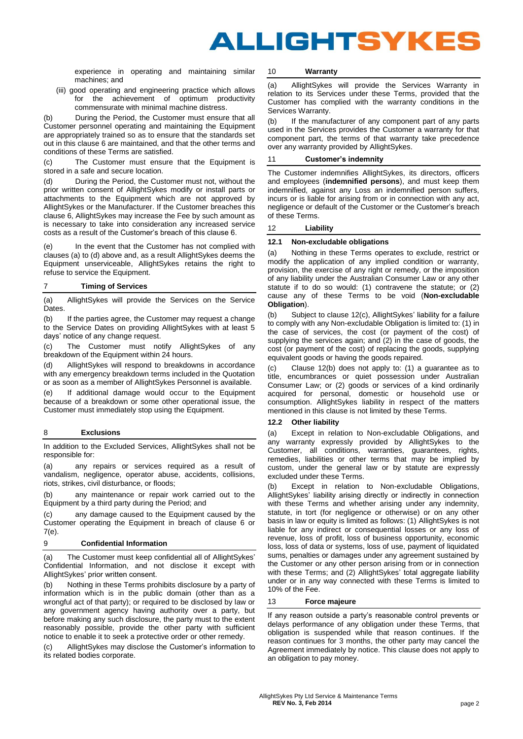

experience in operating and maintaining similar machines; and

(iii) good operating and engineering practice which allows for the achievement of optimum productivity commensurate with minimal machine distress.

(b) During the Period, the Customer must ensure that all Customer personnel operating and maintaining the Equipment are appropriately trained so as to ensure that the standards set out in this clause 6 are maintained, and that the other terms and conditions of these Terms are satisfied.

(c) The Customer must ensure that the Equipment is stored in a safe and secure location.

(d) During the Period, the Customer must not, without the prior written consent of AllightSykes modify or install parts or attachments to the Equipment which are not approved by AllightSykes or the Manufacturer. If the Customer breaches this clause 6, AllightSykes may increase the Fee by such amount as is necessary to take into consideration any increased service costs as a result of the Customer's breach of this clause 6.

(e) In the event that the Customer has not complied with clauses (a) to (d) above and, as a result AllightSykes deems the Equipment unserviceable, AllightSykes retains the right to refuse to service the Equipment.

# 7 **Timing of Services**

(a) AllightSykes will provide the Services on the Service **Dates** 

(b) If the parties agree, the Customer may request a change to the Service Dates on providing AllightSykes with at least 5 days' notice of any change request.

(c) The Customer must notify AllightSykes of any breakdown of the Equipment within 24 hours.

(d) AllightSykes will respond to breakdowns in accordance with any emergency breakdown terms included in the Quotation or as soon as a member of AllightSykes Personnel is available.

(e) If additional damage would occur to the Equipment because of a breakdown or some other operational issue, the Customer must immediately stop using the Equipment.

## 8 **Exclusions**

In addition to the Excluded Services, AllightSykes shall not be responsible for:

(a) any repairs or services required as a result of vandalism, negligence, operator abuse, accidents, collisions, riots, strikes, civil disturbance, or floods;

(b) any maintenance or repair work carried out to the Equipment by a third party during the Period; and

(c) any damage caused to the Equipment caused by the Customer operating the Equipment in breach of clause 6 or 7(e).

## 9 **Confidential Information**

(a) The Customer must keep confidential all of AllightSykes' Confidential Information, and not disclose it except with AllightSykes' prior written consent.

(b) Nothing in these Terms prohibits disclosure by a party of information which is in the public domain (other than as a wrongful act of that party); or required to be disclosed by law or any government agency having authority over a party, but before making any such disclosure, the party must to the extent reasonably possible, provide the other party with sufficient notice to enable it to seek a protective order or other remedy.

(c) AllightSykes may disclose the Customer's information to its related bodies corporate.

#### 10 **Warranty**

(a) AllightSykes will provide the Services Warranty in relation to its Services under these Terms, provided that the Customer has complied with the warranty conditions in the Services Warranty.

(b) If the manufacturer of any component part of any parts used in the Services provides the Customer a warranty for that component part, the terms of that warranty take precedence over any warranty provided by AllightSykes.

# 11 **Customer's indemnity**

The Customer indemnifies AllightSykes, its directors, officers and employees (**indemnified persons**), and must keep them indemnified, against any Loss an indemnified person suffers, incurs or is liable for arising from or in connection with any act, negligence or default of the Customer or the Customer's breach of these Terms.

#### <span id="page-1-0"></span>12 **Liability**

#### **12.1 Non-excludable obligations**

(a) Nothing in these Terms operates to exclude, restrict or modify the application of any implied condition or warranty, provision, the exercise of any right or remedy, or the imposition of any liability under the Australian Consumer Law or any other statute if to do so would: (1) contravene the statute; or (2) cause any of these Terms to be void (**Non-excludable Obligation**).

(b) Subject to claus[e 12\(c\),](#page-1-0) AllightSykes' liability for a failure to comply with any Non-excludable Obligation is limited to: (1) in the case of services, the cost (or payment of the cost) of supplying the services again; and (2) in the case of goods, the cost (or payment of the cost) of replacing the goods, supplying equivalent goods or having the goods repaired.

(c) Clause [12\(b\)](#page-1-0) does not apply to: (1) a guarantee as to title, encumbrances or quiet possession under Australian Consumer Law; or (2) goods or services of a kind ordinarily acquired for personal, domestic or household use or consumption. AllightSykes liability in respect of the matters mentioned in this clause is not limited by these Terms.

## **12.2 Other liability**

(a) Except in relation to Non-excludable Obligations, and any warranty expressly provided by AllightSykes to the Customer, all conditions, warranties, guarantees, rights, remedies, liabilities or other terms that may be implied by custom, under the general law or by statute are expressly excluded under these Terms.

(b) Except in relation to Non-excludable Obligations, AllightSykes' liability arising directly or indirectly in connection with these Terms and whether arising under any indemnity, statute, in tort (for negligence or otherwise) or on any other basis in law or equity is limited as follows: (1) AllightSykes is not liable for any indirect or consequential losses or any loss of revenue, loss of profit, loss of business opportunity, economic loss, loss of data or systems, loss of use, payment of liquidated sums, penalties or damages under any agreement sustained by the Customer or any other person arising from or in connection with these Terms; and (2) AllightSykes' total aggregate liability under or in any way connected with these Terms is limited to 10% of the Fee.

#### 13 **Force majeure**

If any reason outside a party's reasonable control prevents or delays performance of any obligation under these Terms, that obligation is suspended while that reason continues. If the reason continues for 3 months, the other party may cancel the Agreement immediately by notice. This clause does not apply to an obligation to pay money.